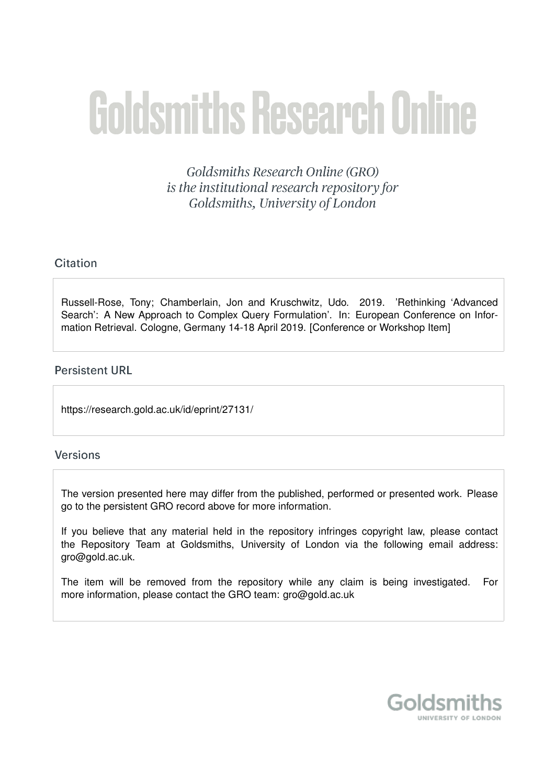# **Goldsmiths Research Online**

Goldsmiths Research Online (GRO) is the institutional research repository for Goldsmiths, University of London

# Citation

Russell-Rose, Tony; Chamberlain, Jon and Kruschwitz, Udo. 2019. 'Rethinking 'Advanced Search': A New Approach to Complex Query Formulation'. In: European Conference on Information Retrieval. Cologne, Germany 14-18 April 2019. [Conference or Workshop Item]

# **Persistent URL**

https://research.gold.ac.uk/id/eprint/27131/

## **Versions**

The version presented here may differ from the published, performed or presented work. Please go to the persistent GRO record above for more information.

If you believe that any material held in the repository infringes copyright law, please contact the Repository Team at Goldsmiths, University of London via the following email address: gro@gold.ac.uk.

The item will be removed from the repository while any claim is being investigated. For more information, please contact the GRO team: gro@gold.ac.uk

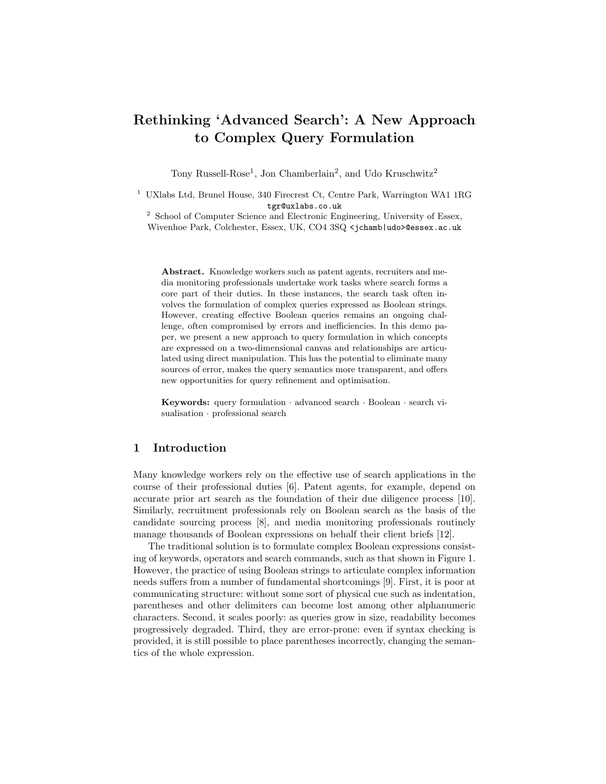# Rethinking 'Advanced Search': A New Approach to Complex Query Formulation

Tony Russell-Rose<sup>1</sup>, Jon Chamberlain<sup>2</sup>, and Udo Kruschwitz<sup>2</sup>

 $^{\rm 1}$  UX<br>labs Ltd, Brunel House, 340 Firecrest Ct, Centre Park, Warrington WA1<br>  $1{\rm RG}$ tgr@uxlabs.co.uk

<sup>2</sup> School of Computer Science and Electronic Engineering, University of Essex, Wivenhoe Park, Colchester, Essex, UK, CO4 3SQ <jchamb|udo>@essex.ac.uk

Abstract. Knowledge workers such as patent agents, recruiters and media monitoring professionals undertake work tasks where search forms a core part of their duties. In these instances, the search task often involves the formulation of complex queries expressed as Boolean strings. However, creating effective Boolean queries remains an ongoing challenge, often compromised by errors and inefficiencies. In this demo paper, we present a new approach to query formulation in which concepts are expressed on a two-dimensional canvas and relationships are articulated using direct manipulation. This has the potential to eliminate many sources of error, makes the query semantics more transparent, and offers new opportunities for query refinement and optimisation.

Keywords: query formulation · advanced search · Boolean · search visualisation · professional search

### 1 Introduction

Many knowledge workers rely on the effective use of search applications in the course of their professional duties [6]. Patent agents, for example, depend on accurate prior art search as the foundation of their due diligence process [10]. Similarly, recruitment professionals rely on Boolean search as the basis of the candidate sourcing process [8], and media monitoring professionals routinely manage thousands of Boolean expressions on behalf their client briefs [12].

The traditional solution is to formulate complex Boolean expressions consisting of keywords, operators and search commands, such as that shown in Figure 1. However, the practice of using Boolean strings to articulate complex information needs suffers from a number of fundamental shortcomings [9]. First, it is poor at communicating structure: without some sort of physical cue such as indentation, parentheses and other delimiters can become lost among other alphanumeric characters. Second, it scales poorly: as queries grow in size, readability becomes progressively degraded. Third, they are error-prone: even if syntax checking is provided, it is still possible to place parentheses incorrectly, changing the semantics of the whole expression.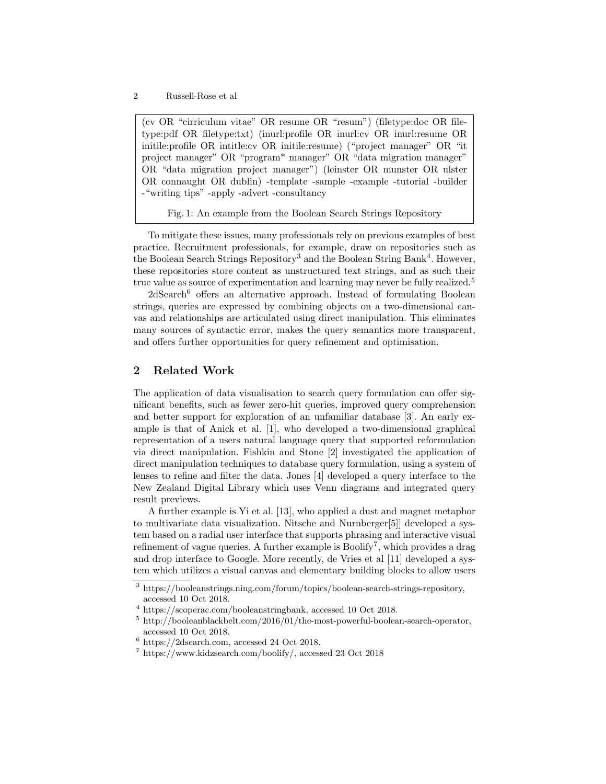(cv OR "cirriculum vitae" OR resume OR "resum") (filetype:doc OR filetype:pdf OR filetype:txt) (inurl:profile OR inurl:cv OR inurl:resume OR initile:profile OR intitle:cv OR initile:resume) ("project manager" OR "it project manager" OR "program\* manager" OR "data migration manager" OR "data migration project manager") (leinster OR munster OR ulster OR connaught OR dublin) -template -sample -example -tutorial -builder -"writing tips" -apply -advert -consultancy

Fig. 1: An example from the Boolean Search Strings Repository

To mitigate these issues, many professionals rely on previous examples of best practice. Recruitment professionals, for example, draw on repositories such as the Boolean Search Strings Repository<sup>3</sup> and the Boolean String Bank<sup>4</sup>. However, these repositories store content as unstructured text strings, and as such their true value as source of experimentation and learning may never be fully realized.<sup>5</sup>

 $2dSearch<sup>6</sup>$  offers an alternative approach. Instead of formulating Boolean strings, queries are expressed by combining objects on a two-dimensional canvas and relationships are articulated using direct manipulation. This eliminates many sources of syntactic error, makes the query semantics more transparent, and offers further opportunities for query refinement and optimisation.

### 2 Related Work

The application of data visualisation to search query formulation can offer significant benefits, such as fewer zero-hit queries, improved query comprehension and better support for exploration of an unfamiliar database [3]. An early example is that of Anick et al. [1], who developed a two-dimensional graphical representation of a users natural language query that supported reformulation via direct manipulation. Fishkin and Stone [2] investigated the application of direct manipulation techniques to database query formulation, using a system of lenses to refine and filter the data. Jones [4] developed a query interface to the New Zealand Digital Library which uses Venn diagrams and integrated query result previews.

A further example is Yi et al. [13], who applied a dust and magnet metaphor to multivariate data visualization. Nitsche and Nurnberger[5]] developed a system based on a radial user interface that supports phrasing and interactive visual refinement of vague queries. A further example is  $Boolify^7$ , which provides a drag and drop interface to Google. More recently, de Vries et al [11] developed a system which utilizes a visual canvas and elementary building blocks to allow users

<sup>3</sup> https://booleanstrings.ning.com/forum/topics/boolean-search-strings-repository, accessed 10 Oct 2018.

<sup>4</sup> https://scoperac.com/booleanstringbank, accessed 10 Oct 2018.

<sup>5</sup> http://booleanblackbelt.com/2016/01/the-most-powerful-boolean-search-operator, accessed 10 Oct 2018.

 $^6$ https://2dsearch.com, accessed 24 Oct 2018.

<sup>7</sup> https://www.kidzsearch.com/boolify/, accessed 23 Oct 2018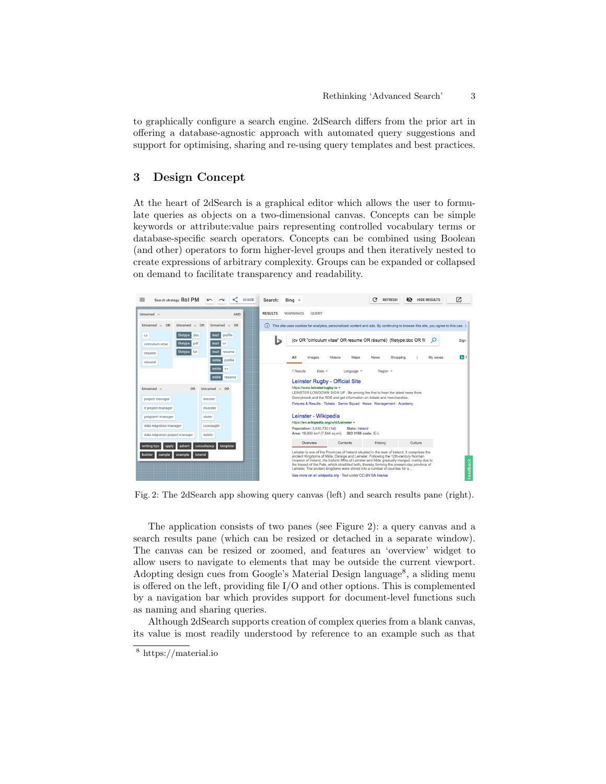to graphically configure a search engine. 2dSearch differs from the prior art in offering a database-agnostic approach with automated query suggestions and support for optimising, sharing and re-using query templates and best practices.

### 3 Design Concept

At the heart of 2dSearch is a graphical editor which allows the user to formulate queries as objects on a two-dimensional canvas. Concepts can be simple keywords or attribute:value pairs representing controlled vocabulary terms or database-specific search operators. Concepts can be combined using Boolean (and other) operators to form higher-level groups and then iteratively nested to create expressions of arbitrary complexity. Groups can be expanded or collapsed on demand to facilitate transparency and readability.



Fig. 2: The 2dSearch app showing query canvas (left) and search results pane (right).

The application consists of two panes (see Figure 2): a query canvas and a search results pane (which can be resized or detached in a separate window). The canvas can be resized or zoomed, and features an 'overview' widget to allow users to navigate to elements that may be outside the current viewport. Adopting design cues from Google's Material Design language<sup>8</sup>, a sliding menu is offered on the left, providing file I/O and other options. This is complemented by a navigation bar which provides support for document-level functions such as naming and sharing queries.

Although 2dSearch supports creation of complex queries from a blank canvas, its value is most readily understood by reference to an example such as that

 $\frac{8}{8}$  https://material.io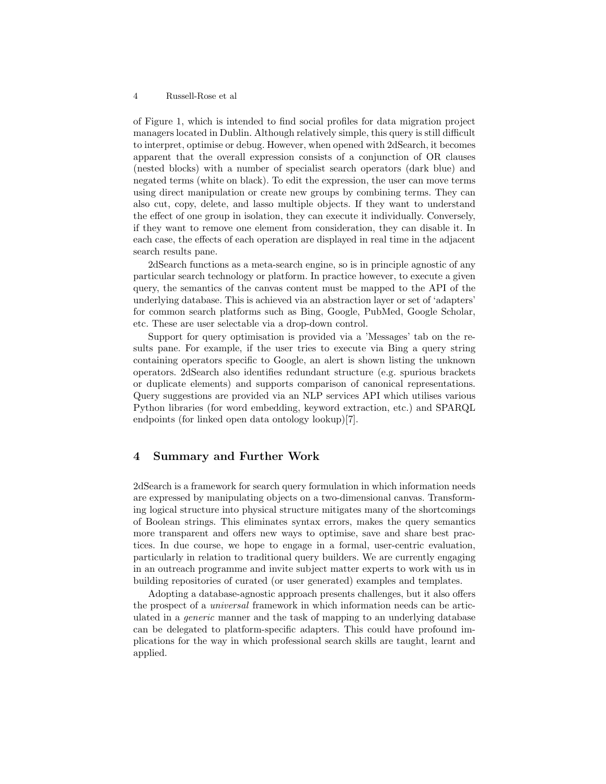### 4 Russell-Rose et al

of Figure 1, which is intended to find social profiles for data migration project managers located in Dublin. Although relatively simple, this query is still difficult to interpret, optimise or debug. However, when opened with 2dSearch, it becomes apparent that the overall expression consists of a conjunction of OR clauses (nested blocks) with a number of specialist search operators (dark blue) and negated terms (white on black). To edit the expression, the user can move terms using direct manipulation or create new groups by combining terms. They can also cut, copy, delete, and lasso multiple objects. If they want to understand the effect of one group in isolation, they can execute it individually. Conversely, if they want to remove one element from consideration, they can disable it. In each case, the effects of each operation are displayed in real time in the adjacent search results pane.

2dSearch functions as a meta-search engine, so is in principle agnostic of any particular search technology or platform. In practice however, to execute a given query, the semantics of the canvas content must be mapped to the API of the underlying database. This is achieved via an abstraction layer or set of 'adapters' for common search platforms such as Bing, Google, PubMed, Google Scholar, etc. These are user selectable via a drop-down control.

Support for query optimisation is provided via a 'Messages' tab on the results pane. For example, if the user tries to execute via Bing a query string containing operators specific to Google, an alert is shown listing the unknown operators. 2dSearch also identifies redundant structure (e.g. spurious brackets or duplicate elements) and supports comparison of canonical representations. Query suggestions are provided via an NLP services API which utilises various Python libraries (for word embedding, keyword extraction, etc.) and SPARQL endpoints (for linked open data ontology lookup)[7].

### 4 Summary and Further Work

2dSearch is a framework for search query formulation in which information needs are expressed by manipulating objects on a two-dimensional canvas. Transforming logical structure into physical structure mitigates many of the shortcomings of Boolean strings. This eliminates syntax errors, makes the query semantics more transparent and offers new ways to optimise, save and share best practices. In due course, we hope to engage in a formal, user-centric evaluation, particularly in relation to traditional query builders. We are currently engaging in an outreach programme and invite subject matter experts to work with us in building repositories of curated (or user generated) examples and templates.

Adopting a database-agnostic approach presents challenges, but it also offers the prospect of a universal framework in which information needs can be articulated in a generic manner and the task of mapping to an underlying database can be delegated to platform-specific adapters. This could have profound implications for the way in which professional search skills are taught, learnt and applied.